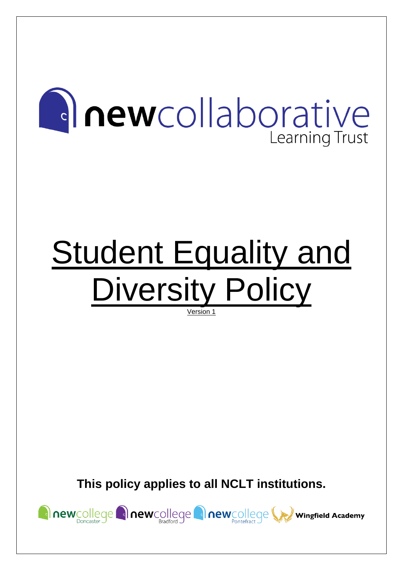# **Anewcollaborative** Learning Trust

# **Student Equality and** Diversity Policy Version 1

**This policy applies to all NCLT institutions.**

newcollege anewcollege anewcollege wingfield Academy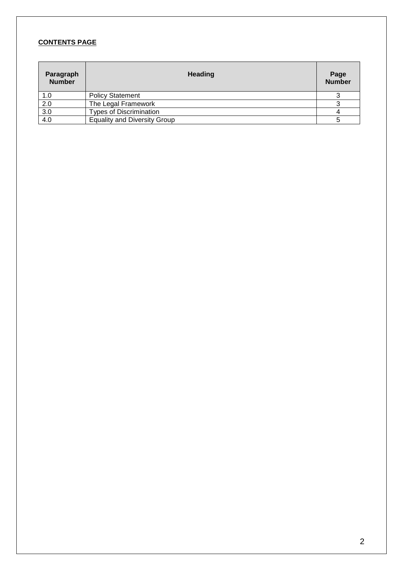# **CONTENTS PAGE**

| Paragraph<br><b>Number</b> | <b>Heading</b>                      | Page<br><b>Number</b> |
|----------------------------|-------------------------------------|-----------------------|
| 1.0                        | <b>Policy Statement</b>             |                       |
| 2.0                        | The Legal Framework                 |                       |
| 3.0                        | <b>Types of Discrimination</b>      |                       |
| 4.0                        | <b>Equality and Diversity Group</b> |                       |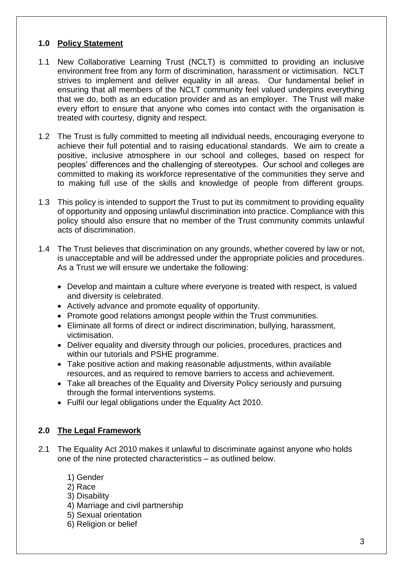# **1.0 Policy Statement**

- 1.1 New Collaborative Learning Trust (NCLT) is committed to providing an inclusive environment free from any form of discrimination, harassment or victimisation. NCLT strives to implement and deliver equality in all areas. Our fundamental belief in ensuring that all members of the NCLT community feel valued underpins everything that we do, both as an education provider and as an employer. The Trust will make every effort to ensure that anyone who comes into contact with the organisation is treated with courtesy, dignity and respect.
- 1.2 The Trust is fully committed to meeting all individual needs, encouraging everyone to achieve their full potential and to raising educational standards. We aim to create a positive, inclusive atmosphere in our school and colleges, based on respect for peoples' differences and the challenging of stereotypes. Our school and colleges are committed to making its workforce representative of the communities they serve and to making full use of the skills and knowledge of people from different groups.
- 1.3 This policy is intended to support the Trust to put its commitment to providing equality of opportunity and opposing unlawful discrimination into practice. Compliance with this policy should also ensure that no member of the Trust community commits unlawful acts of discrimination.
- 1.4 The Trust believes that discrimination on any grounds, whether covered by law or not, is unacceptable and will be addressed under the appropriate policies and procedures. As a Trust we will ensure we undertake the following:
	- Develop and maintain a culture where everyone is treated with respect, is valued and diversity is celebrated.
	- Actively advance and promote equality of opportunity.
	- Promote good relations amongst people within the Trust communities.
	- Eliminate all forms of direct or indirect discrimination, bullying, harassment, victimisation.
	- Deliver equality and diversity through our policies, procedures, practices and within our tutorials and PSHE programme.
	- Take positive action and making reasonable adjustments, within available resources, and as required to remove barriers to access and achievement.
	- Take all breaches of the Equality and Diversity Policy seriously and pursuing through the formal interventions systems.
	- Fulfil our legal obligations under the Equality Act 2010.

# **2.0 The Legal Framework**

- 2.1 The Equality Act 2010 makes it unlawful to discriminate against anyone who holds one of the nine protected characteristics – as outlined below.
	- 1) Gender
	- 2) Race
	- 3) Disability
	- 4) Marriage and civil partnership
	- 5) Sexual orientation
	- 6) Religion or belief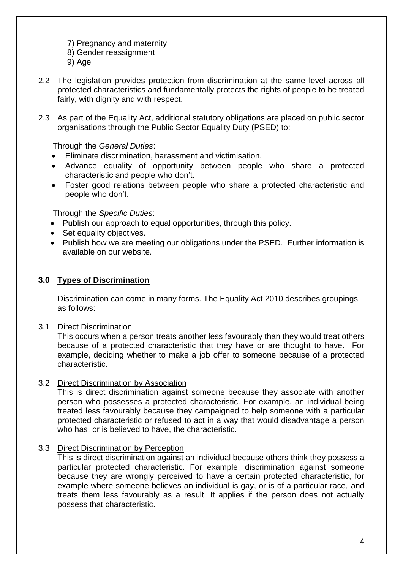- 7) Pregnancy and maternity
- 8) Gender reassignment
- 9) Age
- 2.2 The legislation provides protection from discrimination at the same level across all protected characteristics and fundamentally protects the rights of people to be treated fairly, with dignity and with respect.
- 2.3 As part of the Equality Act, additional statutory obligations are placed on public sector organisations through the Public Sector Equality Duty (PSED) to:

Through the *General Duties*:

- Eliminate discrimination, harassment and victimisation.
- Advance equality of opportunity between people who share a protected characteristic and people who don't.
- Foster good relations between people who share a protected characteristic and people who don't.

Through the *Specific Duties*:

- Publish our approach to equal opportunities, through this policy.
- Set equality objectives.
- Publish how we are meeting our obligations under the PSED. Further information is available on our website.

#### **3.0 Types of Discrimination**

Discrimination can come in many forms. The Equality Act 2010 describes groupings as follows:

3.1 Direct Discrimination

This occurs when a person treats another less favourably than they would treat others because of a protected characteristic that they have or are thought to have. For example, deciding whether to make a job offer to someone because of a protected characteristic.

#### 3.2 Direct Discrimination by Association

This is direct discrimination against someone because they associate with another person who possesses a protected characteristic. For example, an individual being treated less favourably because they campaigned to help someone with a particular protected characteristic or refused to act in a way that would disadvantage a person who has, or is believed to have, the characteristic.

# 3.3 Direct Discrimination by Perception

This is direct discrimination against an individual because others think they possess a particular protected characteristic. For example, discrimination against someone because they are wrongly perceived to have a certain protected characteristic, for example where someone believes an individual is gay, or is of a particular race, and treats them less favourably as a result. It applies if the person does not actually possess that characteristic.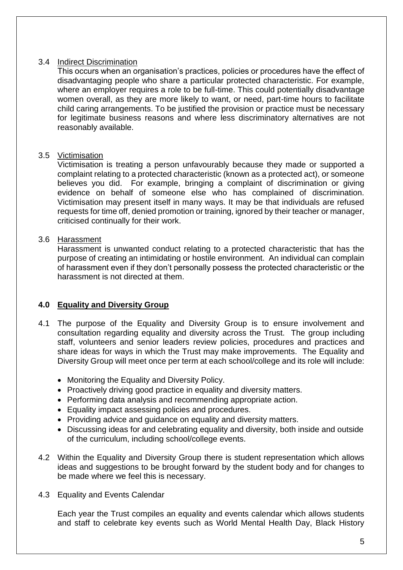#### 3.4 Indirect Discrimination

This occurs when an organisation's practices, policies or procedures have the effect of disadvantaging people who share a particular protected characteristic. For example, where an employer requires a role to be full-time. This could potentially disadvantage women overall, as they are more likely to want, or need, part-time hours to facilitate child caring arrangements. To be justified the provision or practice must be necessary for legitimate business reasons and where less discriminatory alternatives are not reasonably available.

#### 3.5 Victimisation

Victimisation is treating a person unfavourably because they made or supported a complaint relating to a protected characteristic (known as a protected act), or someone believes you did. For example, bringing a complaint of discrimination or giving evidence on behalf of someone else who has complained of discrimination. Victimisation may present itself in many ways. It may be that individuals are refused requests for time off, denied promotion or training, ignored by their teacher or manager, criticised continually for their work.

#### 3.6 Harassment

Harassment is unwanted conduct relating to a protected characteristic that has the purpose of creating an intimidating or hostile environment. An individual can complain of harassment even if they don't personally possess the protected characteristic or the harassment is not directed at them.

# **4.0 Equality and Diversity Group**

- 4.1 The purpose of the Equality and Diversity Group is to ensure involvement and consultation regarding equality and diversity across the Trust. The group including staff, volunteers and senior leaders review policies, procedures and practices and share ideas for ways in which the Trust may make improvements. The Equality and Diversity Group will meet once per term at each school/college and its role will include:
	- Monitoring the Equality and Diversity Policy.
	- Proactively driving good practice in equality and diversity matters.
	- Performing data analysis and recommending appropriate action.
	- Equality impact assessing policies and procedures.
	- Providing advice and quidance on equality and diversity matters.
	- Discussing ideas for and celebrating equality and diversity, both inside and outside of the curriculum, including school/college events.
- 4.2 Within the Equality and Diversity Group there is student representation which allows ideas and suggestions to be brought forward by the student body and for changes to be made where we feel this is necessary.
- 4.3 Equality and Events Calendar

Each year the Trust compiles an equality and events calendar which allows students and staff to celebrate key events such as World Mental Health Day, Black History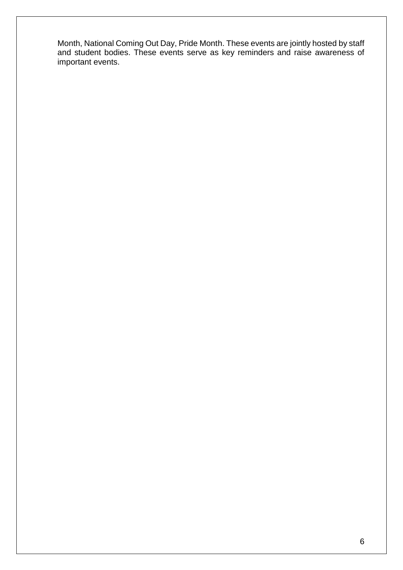Month, National Coming Out Day, Pride Month. These events are jointly hosted by staff and student bodies. These events serve as key reminders and raise awareness of important events.